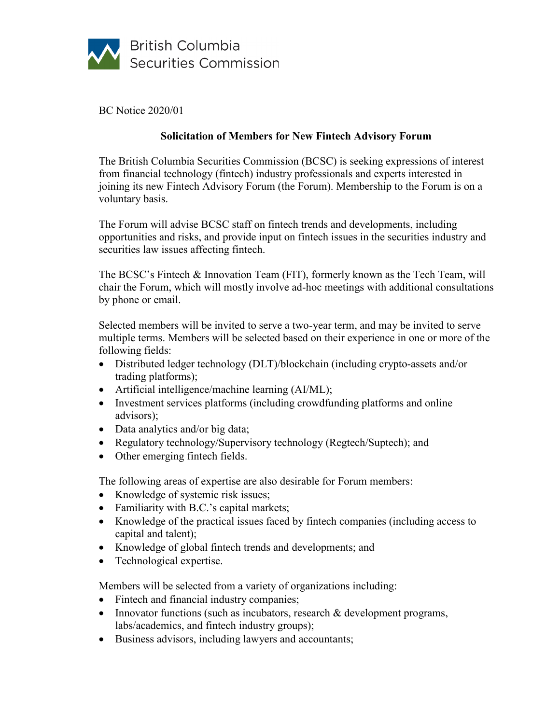

BC Notice 2020/01

# **Solicitation of Members for New Fintech Advisory Forum**

The British Columbia Securities Commission (BCSC) is seeking expressions of interest from financial technology (fintech) industry professionals and experts interested in joining its new Fintech Advisory Forum (the Forum). Membership to the Forum is on a voluntary basis.

The Forum will advise BCSC staff on fintech trends and developments, including opportunities and risks, and provide input on fintech issues in the securities industry and securities law issues affecting fintech.

The BCSC's Fintech & Innovation Team (FIT), formerly known as the Tech Team, will chair the Forum, which will mostly involve ad-hoc meetings with additional consultations by phone or email.

Selected members will be invited to serve a two-year term, and may be invited to serve multiple terms. Members will be selected based on their experience in one or more of the following fields:

- Distributed ledger technology (DLT)/blockchain (including crypto-assets and/or trading platforms);
- Artificial intelligence/machine learning (AI/ML);
- Investment services platforms (including crowdfunding platforms and online advisors);
- Data analytics and/or big data;
- Regulatory technology/Supervisory technology (Regtech/Suptech); and
- Other emerging fintech fields.

The following areas of expertise are also desirable for Forum members:

- Knowledge of systemic risk issues;
- Familiarity with B.C.'s capital markets;
- Knowledge of the practical issues faced by fintech companies (including access to capital and talent);
- Knowledge of global fintech trends and developments; and
- Technological expertise.

Members will be selected from a variety of organizations including:

- Fintech and financial industry companies;
- Innovator functions (such as incubators, research & development programs, labs/academics, and fintech industry groups);
- Business advisors, including lawyers and accountants;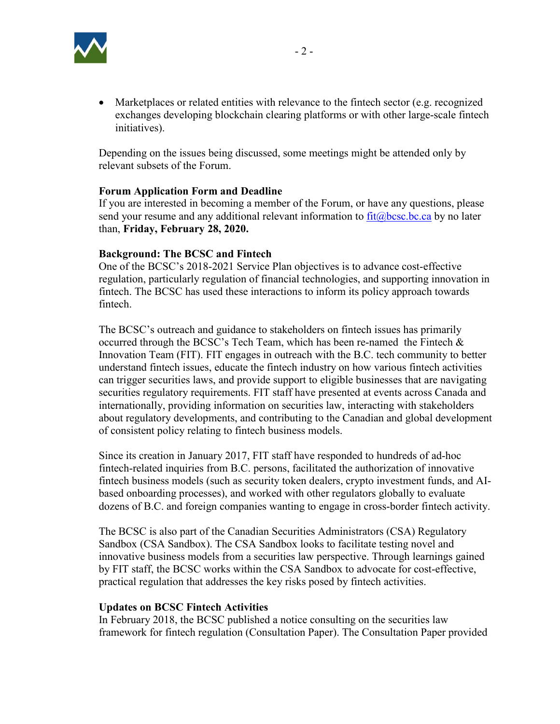

• Marketplaces or related entities with relevance to the fintech sector (e.g. recognized exchanges developing blockchain clearing platforms or with other large-scale fintech initiatives).

Depending on the issues being discussed, some meetings might be attended only by relevant subsets of the Forum.

## **Forum Application Form and Deadline**

If you are interested in becoming a member of the Forum, or have any questions, please send your resume and any additional relevant information to  $fit@bcsc,bc.ca$  by no later than, **Friday, February 28, 2020.**

#### **Background: The BCSC and Fintech**

One of the BCSC's 2018-2021 Service Plan objectives is to advance cost-effective regulation, particularly regulation of financial technologies, and supporting innovation in fintech. The BCSC has used these interactions to inform its policy approach towards fintech.

The BCSC's outreach and guidance to stakeholders on fintech issues has primarily occurred through the BCSC's Tech Team, which has been re-named the Fintech & Innovation Team (FIT). FIT engages in outreach with the B.C. tech community to better understand fintech issues, educate the fintech industry on how various fintech activities can trigger securities laws, and provide support to eligible businesses that are navigating securities regulatory requirements. FIT staff have presented at events across Canada and internationally, providing information on securities law, interacting with stakeholders about regulatory developments, and contributing to the Canadian and global development of consistent policy relating to fintech business models.

Since its creation in January 2017, FIT staff have responded to hundreds of ad-hoc fintech-related inquiries from B.C. persons, facilitated the authorization of innovative fintech business models (such as security token dealers, crypto investment funds, and AIbased onboarding processes), and worked with other regulators globally to evaluate dozens of B.C. and foreign companies wanting to engage in cross-border fintech activity.

The BCSC is also part of the Canadian Securities Administrators (CSA) Regulatory Sandbox (CSA Sandbox). The CSA Sandbox looks to facilitate testing novel and innovative business models from a securities law perspective. Through learnings gained by FIT staff, the BCSC works within the CSA Sandbox to advocate for cost-effective, practical regulation that addresses the key risks posed by fintech activities.

#### **Updates on BCSC Fintech Activities**

In February 2018, the BCSC published a notice consulting on the securities law framework for fintech regulation (Consultation Paper). The Consultation Paper provided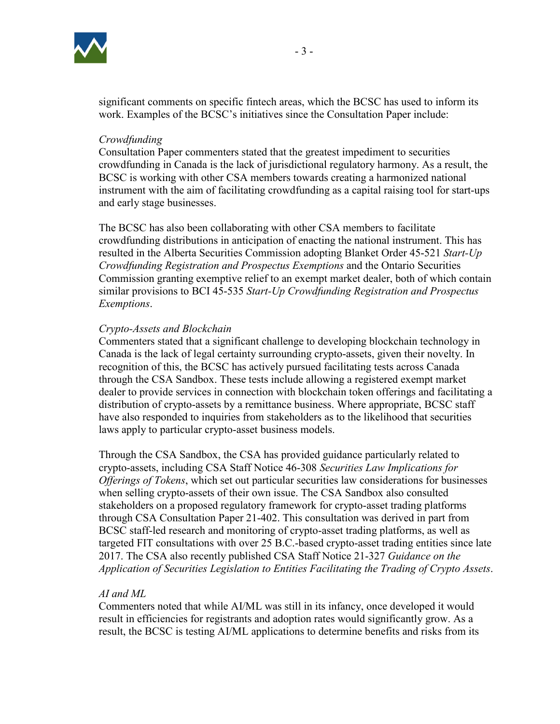

### *Crowdfunding*

Consultation Paper commenters stated that the greatest impediment to securities crowdfunding in Canada is the lack of jurisdictional regulatory harmony. As a result, the BCSC is working with other CSA members towards creating a harmonized national instrument with the aim of facilitating crowdfunding as a capital raising tool for start-ups and early stage businesses.

The BCSC has also been collaborating with other CSA members to facilitate crowdfunding distributions in anticipation of enacting the national instrument. This has resulted in the Alberta Securities Commission adopting Blanket Order 45-521 *Start-Up Crowdfunding Registration and Prospectus Exemptions* and the Ontario Securities Commission granting exemptive relief to an exempt market dealer, both of which contain similar provisions to BCI 45-535 *Start-Up Crowdfunding Registration and Prospectus Exemptions*.

## *Crypto-Assets and Blockchain*

Commenters stated that a significant challenge to developing blockchain technology in Canada is the lack of legal certainty surrounding crypto-assets, given their novelty. In recognition of this, the BCSC has actively pursued facilitating tests across Canada through the CSA Sandbox. These tests include allowing a registered exempt market dealer to provide services in connection with blockchain token offerings and facilitating a distribution of crypto-assets by a remittance business. Where appropriate, BCSC staff have also responded to inquiries from stakeholders as to the likelihood that securities laws apply to particular crypto-asset business models.

Through the CSA Sandbox, the CSA has provided guidance particularly related to crypto-assets, including CSA Staff Notice 46-308 *Securities Law Implications for Offerings of Tokens*, which set out particular securities law considerations for businesses when selling crypto-assets of their own issue. The CSA Sandbox also consulted stakeholders on a proposed regulatory framework for crypto-asset trading platforms through CSA Consultation Paper 21-402. This consultation was derived in part from BCSC staff-led research and monitoring of crypto-asset trading platforms, as well as targeted FIT consultations with over 25 B.C.-based crypto-asset trading entities since late 2017. The CSA also recently published CSA Staff Notice 21-327 *Guidance on the Application of Securities Legislation to Entities Facilitating the Trading of Crypto Assets*.

## *AI and ML*

Commenters noted that while AI/ML was still in its infancy, once developed it would result in efficiencies for registrants and adoption rates would significantly grow. As a result, the BCSC is testing AI/ML applications to determine benefits and risks from its